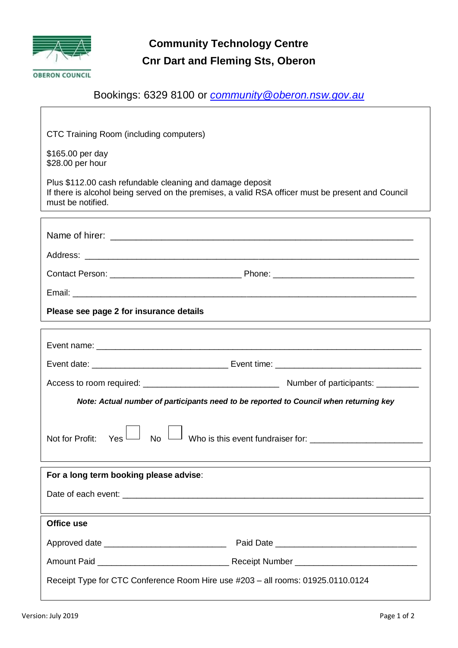

## **Community Technology Centre Cnr Dart and Fleming Sts, Oberon**

### Bookings: 6329 8100 or *[community@oberon.nsw.gov.au](mailto:community@oberon.nsw.gov.au)*

CTC Training Room (including computers)

 \$165.00 per day \$28.00 per hour

Plus \$112.00 cash refundable cleaning and damage deposit If there is alcohol being served on the premises, a valid RSA officer must be present and Council must be notified.

| Please see page 2 for insurance details                                               |  |  |  |
|---------------------------------------------------------------------------------------|--|--|--|
|                                                                                       |  |  |  |
|                                                                                       |  |  |  |
|                                                                                       |  |  |  |
|                                                                                       |  |  |  |
| Note: Actual number of participants need to be reported to Council when returning key |  |  |  |
| $\gamma_{\operatorname{\mathsf{es}}}{\sqcup}$<br><b>No</b><br>Not for Profit:         |  |  |  |
| For a long term booking please advise:                                                |  |  |  |
|                                                                                       |  |  |  |
| Office use                                                                            |  |  |  |
|                                                                                       |  |  |  |
|                                                                                       |  |  |  |
|                                                                                       |  |  |  |

Receipt Type for CTC Conference Room Hire use #203 – all rooms: 01925.0110.0124